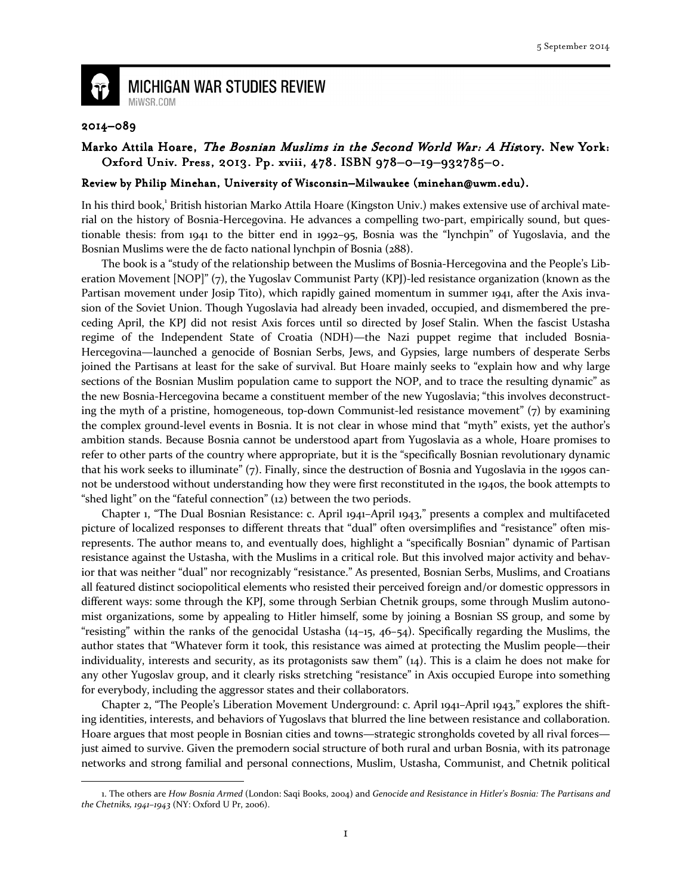

**MICHIGAN WAR STUDIES REVIEW** MiWSR.COM

## 2014–089

 $\overline{\phantom{0}}$ 

## Marko Attila Hoare, The Bosnian Muslims in the Second World War: A History. New York: Oxford Univ. Press, 2013. Pp. xviii, 478. ISBN 978-0-19-932785-0.

## Review by Philip Minehan, University of Wisconsin–Milwaukee (minehan@uwm.edu).

In his third book,<sup>1</sup> British historian Marko Attila Hoare (Kingston Univ.) makes extensive use of archival material on the history of Bosnia-Hercegovina. He advances a compelling two-part, empirically sound, but questionable thesis: from 1941 to the bitter end in 1992–95, Bosnia was the "lynchpin" of Yugoslavia, and the Bosnian Muslims were the de facto national lynchpin of Bosnia (288).

The book is a "study of the relationship between the Muslims of Bosnia-Hercegovina and the People's Liberation Movement [NOP]" (7), the Yugoslav Communist Party (KPJ)-led resistance organization (known as the Partisan movement under Josip Tito), which rapidly gained momentum in summer 1941, after the Axis invasion of the Soviet Union. Though Yugoslavia had already been invaded, occupied, and dismembered the preceding April, the KPJ did not resist Axis forces until so directed by Josef Stalin. When the fascist Ustasha regime of the Independent State of Croatia (NDH)—the Nazi puppet regime that included Bosnia-Hercegovina—launched a genocide of Bosnian Serbs, Jews, and Gypsies, large numbers of desperate Serbs joined the Partisans at least for the sake of survival. But Hoare mainly seeks to "explain how and why large sections of the Bosnian Muslim population came to support the NOP, and to trace the resulting dynamic" as the new Bosnia-Hercegovina became a constituent member of the new Yugoslavia; "this involves deconstructing the myth of a pristine, homogeneous, top-down Communist-led resistance movement" (7) by examining the complex ground-level events in Bosnia. It is not clear in whose mind that "myth" exists, yet the author's ambition stands. Because Bosnia cannot be understood apart from Yugoslavia as a whole, Hoare promises to refer to other parts of the country where appropriate, but it is the "specifically Bosnian revolutionary dynamic that his work seeks to illuminate" (7). Finally, since the destruction of Bosnia and Yugoslavia in the 1990s cannot be understood without understanding how they were first reconstituted in the 1940s, the book attempts to "shed light" on the "fateful connection" (12) between the two periods.

Chapter 1, "The Dual Bosnian Resistance: c. April 1941–April 1943," presents a complex and multifaceted picture of localized responses to different threats that "dual" often oversimplifies and "resistance" often misrepresents. The author means to, and eventually does, highlight a "specifically Bosnian" dynamic of Partisan resistance against the Ustasha, with the Muslims in a critical role. But this involved major activity and behavior that was neither "dual" nor recognizably "resistance." As presented, Bosnian Serbs, Muslims, and Croatians all featured distinct sociopolitical elements who resisted their perceived foreign and/or domestic oppressors in different ways: some through the KPJ, some through Serbian Chetnik groups, some through Muslim autonomist organizations, some by appealing to Hitler himself, some by joining a Bosnian SS group, and some by "resisting" within the ranks of the genocidal Ustasha (14–15, 46–54). Specifically regarding the Muslims, the author states that "Whatever form it took, this resistance was aimed at protecting the Muslim people—their individuality, interests and security, as its protagonists saw them" (14). This is a claim he does not make for any other Yugoslav group, and it clearly risks stretching "resistance" in Axis occupied Europe into something for everybody, including the aggressor states and their collaborators.

Chapter 2, "The People's Liberation Movement Underground: c. April 1941–April 1943," explores the shifting identities, interests, and behaviors of Yugoslavs that blurred the line between resistance and collaboration. Hoare argues that most people in Bosnian cities and towns—strategic strongholds coveted by all rival forces just aimed to survive. Given the premodern social structure of both rural and urban Bosnia, with its patronage networks and strong familial and personal connections, Muslim, Ustasha, Communist, and Chetnik political

<sup>1.</sup> The others are How Bosnia Armed (London: Saqi Books, 2004) and Genocide and Resistance in Hitler's Bosnia: The Partisans and the Chetniks, 1941–1943 (NY: Oxford U Pr, 2006).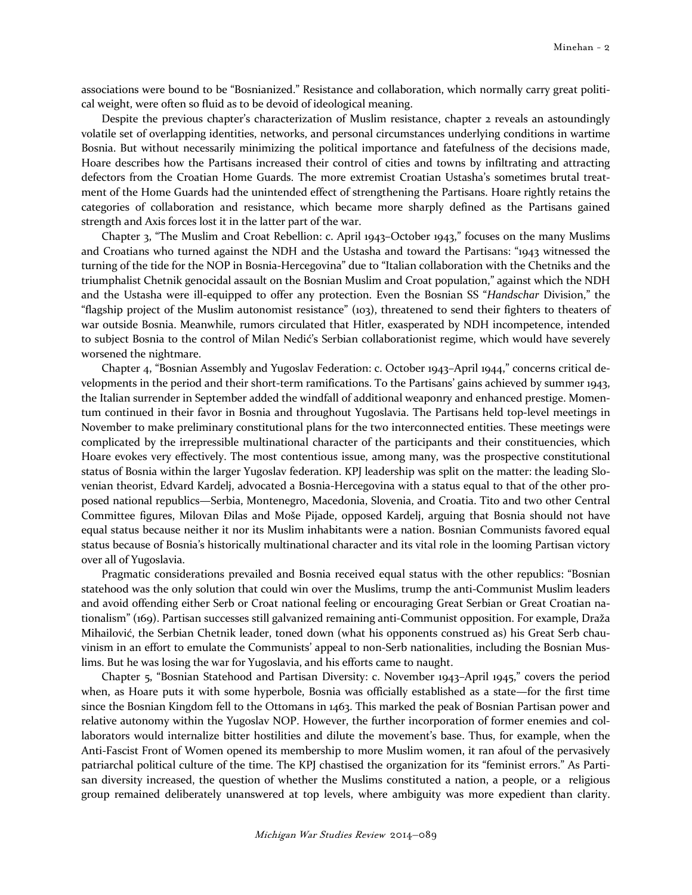associations were bound to be "Bosnianized." Resistance and collaboration, which normally carry great political weight, were often so fluid as to be devoid of ideological meaning.

Despite the previous chapter's characterization of Muslim resistance, chapter 2 reveals an astoundingly volatile set of overlapping identities, networks, and personal circumstances underlying conditions in wartime Bosnia. But without necessarily minimizing the political importance and fatefulness of the decisions made, Hoare describes how the Partisans increased their control of cities and towns by infiltrating and attracting defectors from the Croatian Home Guards. The more extremist Croatian Ustasha's sometimes brutal treatment of the Home Guards had the unintended effect of strengthening the Partisans. Hoare rightly retains the categories of collaboration and resistance, which became more sharply defined as the Partisans gained strength and Axis forces lost it in the latter part of the war.

Chapter 3, "The Muslim and Croat Rebellion: c. April 1943–October 1943," focuses on the many Muslims and Croatians who turned against the NDH and the Ustasha and toward the Partisans: "1943 witnessed the turning of the tide for the NOP in Bosnia-Hercegovina" due to "Italian collaboration with the Chetniks and the triumphalist Chetnik genocidal assault on the Bosnian Muslim and Croat population," against which the NDH and the Ustasha were ill-equipped to offer any protection. Even the Bosnian SS "Handschar Division," the "flagship project of the Muslim autonomist resistance" (103), threatened to send their fighters to theaters of war outside Bosnia. Meanwhile, rumors circulated that Hitler, exasperated by NDH incompetence, intended to subject Bosnia to the control of Milan Nedić's Serbian collaborationist regime, which would have severely worsened the nightmare.

Chapter 4, "Bosnian Assembly and Yugoslav Federation: c. October 1943–April 1944," concerns critical developments in the period and their short-term ramifications. To the Partisans' gains achieved by summer 1943, the Italian surrender in September added the windfall of additional weaponry and enhanced prestige. Momentum continued in their favor in Bosnia and throughout Yugoslavia. The Partisans held top-level meetings in November to make preliminary constitutional plans for the two interconnected entities. These meetings were complicated by the irrepressible multinational character of the participants and their constituencies, which Hoare evokes very effectively. The most contentious issue, among many, was the prospective constitutional status of Bosnia within the larger Yugoslav federation. KPJ leadership was split on the matter: the leading Slovenian theorist, Edvard Kardelj, advocated a Bosnia-Hercegovina with a status equal to that of the other proposed national republics—Serbia, Montenegro, Macedonia, Slovenia, and Croatia. Tito and two other Central Committee figures, Milovan Đilas and Moše Pijade, opposed Kardelj, arguing that Bosnia should not have equal status because neither it nor its Muslim inhabitants were a nation. Bosnian Communists favored equal status because of Bosnia's historically multinational character and its vital role in the looming Partisan victory over all of Yugoslavia.

Pragmatic considerations prevailed and Bosnia received equal status with the other republics: "Bosnian statehood was the only solution that could win over the Muslims, trump the anti-Communist Muslim leaders and avoid offending either Serb or Croat national feeling or encouraging Great Serbian or Great Croatian nationalism" (169). Partisan successes still galvanized remaining anti-Communist opposition. For example, Draža Mihailović, the Serbian Chetnik leader, toned down (what his opponents construed as) his Great Serb chauvinism in an effort to emulate the Communists' appeal to non-Serb nationalities, including the Bosnian Muslims. But he was losing the war for Yugoslavia, and his efforts came to naught.

Chapter 5, "Bosnian Statehood and Partisan Diversity: c. November 1943–April 1945," covers the period when, as Hoare puts it with some hyperbole, Bosnia was officially established as a state—for the first time since the Bosnian Kingdom fell to the Ottomans in 1463. This marked the peak of Bosnian Partisan power and relative autonomy within the Yugoslav NOP. However, the further incorporation of former enemies and collaborators would internalize bitter hostilities and dilute the movement's base. Thus, for example, when the Anti-Fascist Front of Women opened its membership to more Muslim women, it ran afoul of the pervasively patriarchal political culture of the time. The KPJ chastised the organization for its "feminist errors." As Partisan diversity increased, the question of whether the Muslims constituted a nation, a people, or a religious group remained deliberately unanswered at top levels, where ambiguity was more expedient than clarity.